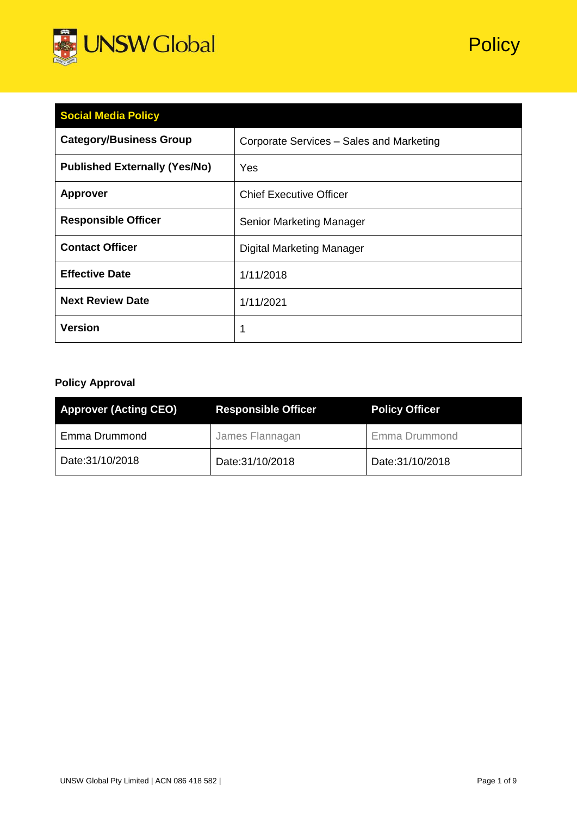

| <b>Social Media Policy</b>           |                                          |  |
|--------------------------------------|------------------------------------------|--|
| <b>Category/Business Group</b>       | Corporate Services - Sales and Marketing |  |
| <b>Published Externally (Yes/No)</b> | <b>Yes</b>                               |  |
| <b>Approver</b>                      | <b>Chief Executive Officer</b>           |  |
| <b>Responsible Officer</b>           | Senior Marketing Manager                 |  |
| <b>Contact Officer</b>               | <b>Digital Marketing Manager</b>         |  |
| <b>Effective Date</b>                | 1/11/2018                                |  |
| <b>Next Review Date</b>              | 1/11/2021                                |  |
| <b>Version</b>                       | 1                                        |  |

## **Policy Approval**

| <b>Approver (Acting CEO)</b> | <b>Responsible Officer</b> | <b>Policy Officer</b> |
|------------------------------|----------------------------|-----------------------|
| Emma Drummond                | James Flannagan            | <b>Emma Drummond</b>  |
| Date: 31/10/2018             | Date: 31/10/2018           | Date:31/10/2018       |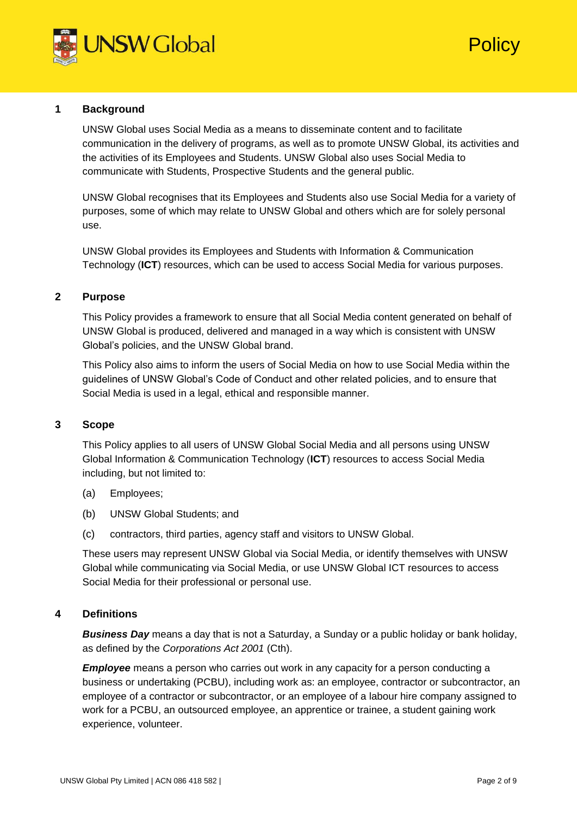

# **Policy**

## **1 Background**

UNSW Global uses Social Media as a means to disseminate content and to facilitate communication in the delivery of programs, as well as to promote UNSW Global, its activities and the activities of its Employees and Students. UNSW Global also uses Social Media to communicate with Students, Prospective Students and the general public.

UNSW Global recognises that its Employees and Students also use Social Media for a variety of purposes, some of which may relate to UNSW Global and others which are for solely personal use.

UNSW Global provides its Employees and Students with Information & Communication Technology (**ICT**) resources, which can be used to access Social Media for various purposes.

## **2 Purpose**

This Policy provides a framework to ensure that all Social Media content generated on behalf of UNSW Global is produced, delivered and managed in a way which is consistent with UNSW Global's policies, and the UNSW Global brand.

This Policy also aims to inform the users of Social Media on how to use Social Media within the guidelines of UNSW Global's Code of Conduct and other related policies, and to ensure that Social Media is used in a legal, ethical and responsible manner.

## **3 Scope**

This Policy applies to all users of UNSW Global Social Media and all persons using UNSW Global Information & Communication Technology (**ICT**) resources to access Social Media including, but not limited to:

- (a) Employees;
- (b) UNSW Global Students; and
- (c) contractors, third parties, agency staff and visitors to UNSW Global.

These users may represent UNSW Global via Social Media, or identify themselves with UNSW Global while communicating via Social Media, or use UNSW Global ICT resources to access Social Media for their professional or personal use.

## **4 Definitions**

*Business Day* means a day that is not a Saturday, a Sunday or a public holiday or bank holiday, as defined by the *Corporations Act 2001* (Cth).

*Employee* means a person who carries out work in any capacity for a person conducting a business or undertaking (PCBU), including work as: an employee, contractor or subcontractor, an employee of a contractor or subcontractor, or an employee of a labour hire company assigned to work for a PCBU, an outsourced employee, an apprentice or trainee, a student gaining work experience, volunteer.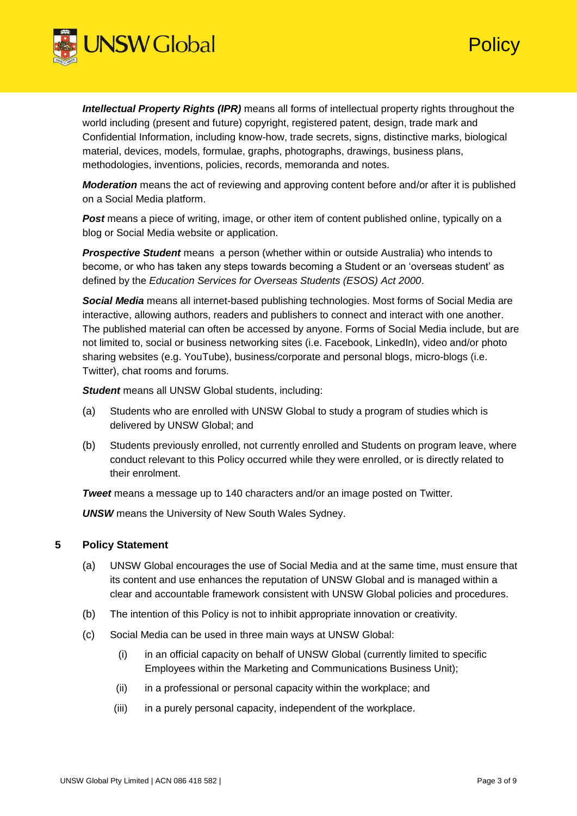

*Intellectual Property Rights (IPR)* means all forms of intellectual property rights throughout the world including (present and future) copyright, registered patent, design, trade mark and Confidential Information, including know-how, trade secrets, signs, distinctive marks, biological material, devices, models, formulae, graphs, photographs, drawings, business plans, methodologies, inventions, policies, records, memoranda and notes.

*Moderation* means the act of reviewing and approving content before and/or after it is published on a Social Media platform.

*Post* means a piece of writing, image, or other item of content published online, typically on a blog or Social Media website or application.

*Prospective Student* means a person (whether within or outside Australia) who intends to become, or who has taken any steps towards becoming a Student or an 'overseas student' as defined by the *Education Services for Overseas Students (ESOS) Act 2000*.

*Social Media* means all internet-based publishing technologies. Most forms of Social Media are interactive, allowing authors, readers and publishers to connect and interact with one another. The published material can often be accessed by anyone. Forms of Social Media include, but are not limited to, social or business networking sites (i.e. Facebook, LinkedIn), video and/or photo sharing websites (e.g. YouTube), business/corporate and personal blogs, micro-blogs (i.e. Twitter), chat rooms and forums.

*Student* means all UNSW Global students, including:

- (a) Students who are enrolled with UNSW Global to study a program of studies which is delivered by UNSW Global; and
- (b) Students previously enrolled, not currently enrolled and Students on program leave, where conduct relevant to this Policy occurred while they were enrolled, or is directly related to their enrolment.

*Tweet* means a message up to 140 characters and/or an image posted on Twitter.

*UNSW* means the University of New South Wales Sydney.

## **5 Policy Statement**

- (a) UNSW Global encourages the use of Social Media and at the same time, must ensure that its content and use enhances the reputation of UNSW Global and is managed within a clear and accountable framework consistent with UNSW Global policies and procedures.
- (b) The intention of this Policy is not to inhibit appropriate innovation or creativity.
- (c) Social Media can be used in three main ways at UNSW Global:
	- (i) in an official capacity on behalf of UNSW Global (currently limited to specific Employees within the Marketing and Communications Business Unit);
	- (ii) in a professional or personal capacity within the workplace; and
	- (iii) in a purely personal capacity, independent of the workplace.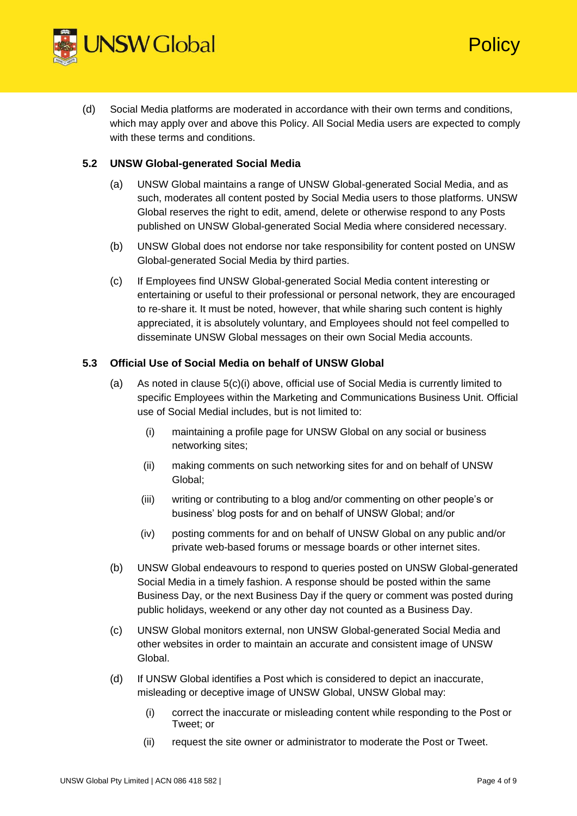

(d) Social Media platforms are moderated in accordance with their own terms and conditions, which may apply over and above this Policy. All Social Media users are expected to comply with these terms and conditions.

## **5.2 UNSW Global-generated Social Media**

- (a) UNSW Global maintains a range of UNSW Global-generated Social Media, and as such, moderates all content posted by Social Media users to those platforms. UNSW Global reserves the right to edit, amend, delete or otherwise respond to any Posts published on UNSW Global-generated Social Media where considered necessary.
- (b) UNSW Global does not endorse nor take responsibility for content posted on UNSW Global-generated Social Media by third parties.
- (c) If Employees find UNSW Global-generated Social Media content interesting or entertaining or useful to their professional or personal network, they are encouraged to re-share it. It must be noted, however, that while sharing such content is highly appreciated, it is absolutely voluntary, and Employees should not feel compelled to disseminate UNSW Global messages on their own Social Media accounts.

## **5.3 Official Use of Social Media on behalf of UNSW Global**

- (a) As noted in clause 5(c)(i) above, official use of Social Media is currently limited to specific Employees within the Marketing and Communications Business Unit. Official use of Social Medial includes, but is not limited to:
	- (i) maintaining a profile page for UNSW Global on any social or business networking sites;
	- (ii) making comments on such networking sites for and on behalf of UNSW Global;
	- (iii) writing or contributing to a blog and/or commenting on other people's or business' blog posts for and on behalf of UNSW Global; and/or
	- (iv) posting comments for and on behalf of UNSW Global on any public and/or private web-based forums or message boards or other internet sites.
- (b) UNSW Global endeavours to respond to queries posted on UNSW Global-generated Social Media in a timely fashion. A response should be posted within the same Business Day, or the next Business Day if the query or comment was posted during public holidays, weekend or any other day not counted as a Business Day.
- (c) UNSW Global monitors external, non UNSW Global-generated Social Media and other websites in order to maintain an accurate and consistent image of UNSW Global.
- (d) If UNSW Global identifies a Post which is considered to depict an inaccurate, misleading or deceptive image of UNSW Global, UNSW Global may:
	- (i) correct the inaccurate or misleading content while responding to the Post or Tweet; or
	- (ii) request the site owner or administrator to moderate the Post or Tweet.

**Policy**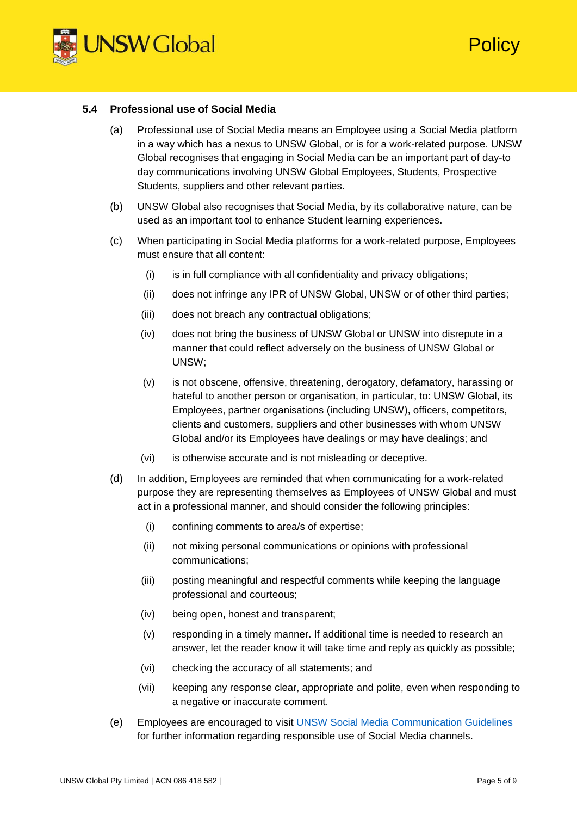

**Policy** 

#### **5.4 Professional use of Social Media**

- (a) Professional use of Social Media means an Employee using a Social Media platform in a way which has a nexus to UNSW Global, or is for a work-related purpose. UNSW Global recognises that engaging in Social Media can be an important part of day-to day communications involving UNSW Global Employees, Students, Prospective Students, suppliers and other relevant parties.
- (b) UNSW Global also recognises that Social Media, by its collaborative nature, can be used as an important tool to enhance Student learning experiences.
- (c) When participating in Social Media platforms for a work-related purpose, Employees must ensure that all content:
	- (i) is in full compliance with all confidentiality and privacy obligations;
	- (ii) does not infringe any IPR of UNSW Global, UNSW or of other third parties;
	- (iii) does not breach any contractual obligations;
	- (iv) does not bring the business of UNSW Global or UNSW into disrepute in a manner that could reflect adversely on the business of UNSW Global or UNSW;
	- (v) is not obscene, offensive, threatening, derogatory, defamatory, harassing or hateful to another person or organisation, in particular, to: UNSW Global, its Employees, partner organisations (including UNSW), officers, competitors, clients and customers, suppliers and other businesses with whom UNSW Global and/or its Employees have dealings or may have dealings; and
	- (vi) is otherwise accurate and is not misleading or deceptive.
- (d) In addition, Employees are reminded that when communicating for a work-related purpose they are representing themselves as Employees of UNSW Global and must act in a professional manner, and should consider the following principles:
	- (i) confining comments to area/s of expertise;
	- (ii) not mixing personal communications or opinions with professional communications;
	- (iii) posting meaningful and respectful comments while keeping the language professional and courteous;
	- (iv) being open, honest and transparent;
	- (v) responding in a timely manner. If additional time is needed to research an answer, let the reader know it will take time and reply as quickly as possible;
	- (vi) checking the accuracy of all statements; and
	- (vii) keeping any response clear, appropriate and polite, even when responding to a negative or inaccurate comment.
- (e) Employees are encouraged to visit [UNSW Social Media Communication Guidelines](https://www.unsw.edu.au/sites/default/files/uploads/UNSW%20Social%20Media%20Communication%20Guidelines_July2018.pdf) for further information regarding responsible use of Social Media channels.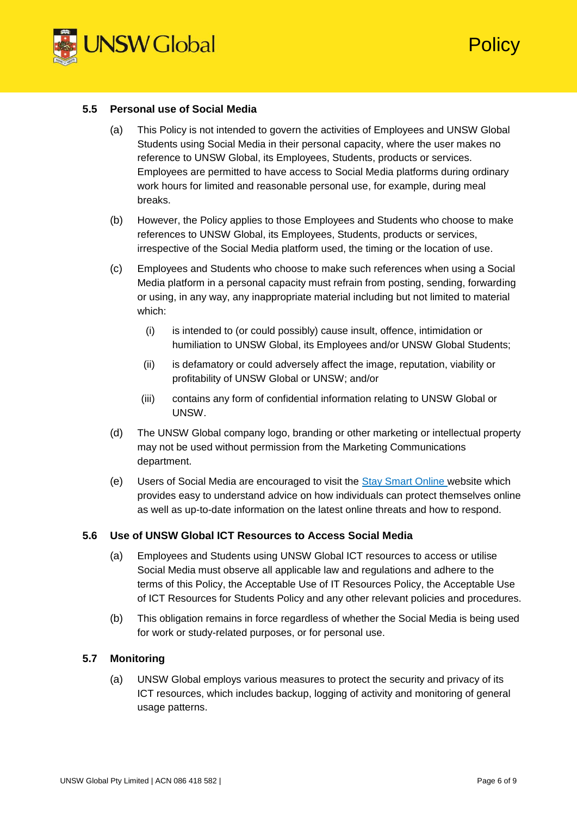

**Policy** 

#### **5.5 Personal use of Social Media**

- (a) This Policy is not intended to govern the activities of Employees and UNSW Global Students using Social Media in their personal capacity, where the user makes no reference to UNSW Global, its Employees, Students, products or services. Employees are permitted to have access to Social Media platforms during ordinary work hours for limited and reasonable personal use, for example, during meal breaks.
- (b) However, the Policy applies to those Employees and Students who choose to make references to UNSW Global, its Employees, Students, products or services, irrespective of the Social Media platform used, the timing or the location of use.
- (c) Employees and Students who choose to make such references when using a Social Media platform in a personal capacity must refrain from posting, sending, forwarding or using, in any way, any inappropriate material including but not limited to material which:
	- (i) is intended to (or could possibly) cause insult, offence, intimidation or humiliation to UNSW Global, its Employees and/or UNSW Global Students;
	- (ii) is defamatory or could adversely affect the image, reputation, viability or profitability of UNSW Global or UNSW; and/or
	- (iii) contains any form of confidential information relating to UNSW Global or UNSW.
- (d) The UNSW Global company logo, branding or other marketing or intellectual property may not be used without permission from the Marketing Communications department.
- (e) Users of Social Media are encouraged to visit the [Stay Smart Online w](https://www.staysmartonline.gov.au/)ebsite which provides easy to understand advice on how individuals can protect themselves online as well as up-to-date information on the latest online threats and how to respond.

## **5.6 Use of UNSW Global ICT Resources to Access Social Media**

- (a) Employees and Students using UNSW Global ICT resources to access or utilise Social Media must observe all applicable law and regulations and adhere to the terms of this Policy, the Acceptable Use of IT Resources Policy, the Acceptable Use of ICT Resources for Students Policy and any other relevant policies and procedures.
- (b) This obligation remains in force regardless of whether the Social Media is being used for work or study-related purposes, or for personal use.

## **5.7 Monitoring**

(a) UNSW Global employs various measures to protect the security and privacy of its ICT resources, which includes backup, logging of activity and monitoring of general usage patterns.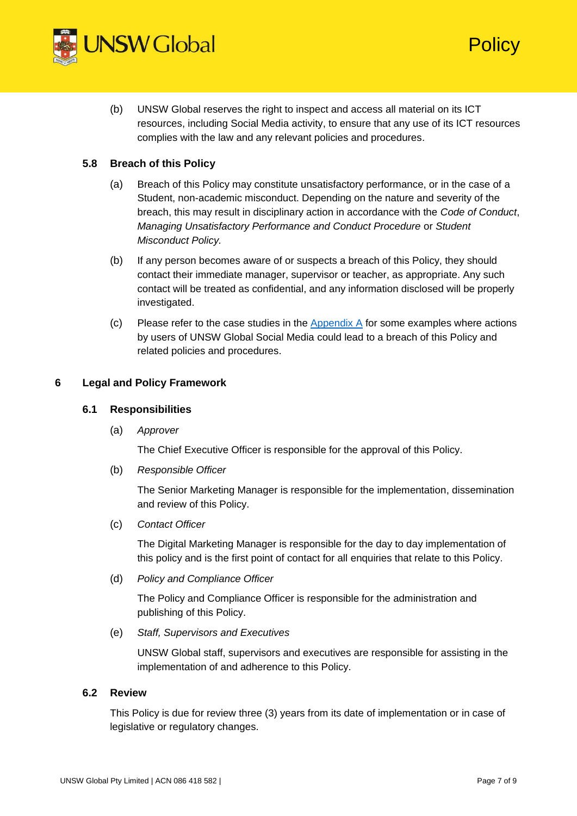

(b) UNSW Global reserves the right to inspect and access all material on its ICT resources, including Social Media activity, to ensure that any use of its ICT resources complies with the law and any relevant policies and procedures.

## **5.8 Breach of this Policy**

- (a) Breach of this Policy may constitute unsatisfactory performance, or in the case of a Student, non-academic misconduct. Depending on the nature and severity of the breach, this may result in disciplinary action in accordance with the *Code of Conduct*, *Managing Unsatisfactory Performance and Conduct Procedure* or *Student Misconduct Policy.*
- (b) If any person becomes aware of or suspects a breach of this Policy, they should contact their immediate manager, supervisor or teacher, as appropriate. Any such contact will be treated as confidential, and any information disclosed will be properly investigated.
- $(c)$  Please refer to the case studies in the [Appendix A](#page-8-0) for some examples where actions by users of UNSW Global Social Media could lead to a breach of this Policy and related policies and procedures.

## **6 Legal and Policy Framework**

## **6.1 Responsibilities**

(a) *Approver*

The Chief Executive Officer is responsible for the approval of this Policy.

(b) *Responsible Officer*

The Senior Marketing Manager is responsible for the implementation, dissemination and review of this Policy.

(c) *Contact Officer* 

The Digital Marketing Manager is responsible for the day to day implementation of this policy and is the first point of contact for all enquiries that relate to this Policy.

(d) *Policy and Compliance Officer* 

The Policy and Compliance Officer is responsible for the administration and publishing of this Policy.

(e) *Staff, Supervisors and Executives*

UNSW Global staff, supervisors and executives are responsible for assisting in the implementation of and adherence to this Policy.

## **6.2 Review**

This Policy is due for review three (3) years from its date of implementation or in case of legislative or regulatory changes.

**Policy**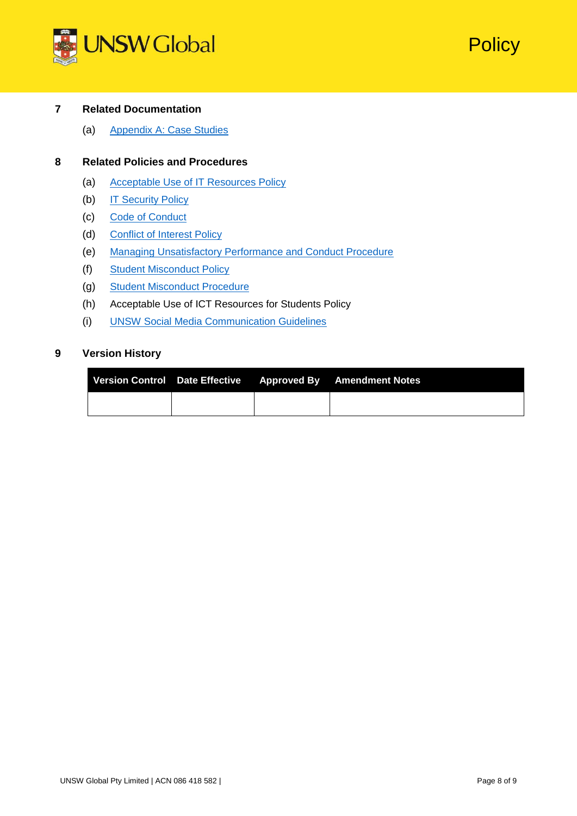



## **7 Related Documentation**

(a) [Appendix A: Case Studies](#page-8-0)

## **8 Related Policies and Procedures**

- (a) [Acceptable Use of IT Resources Policy](https://intranet.unswglobal.unsw.edu.au/Policy/Policy/Acceptable%20Use%20of%20IT%20Resources%20Policy.pdf)
- (b) [IT Security Policy](https://intranet.unswglobal.unsw.edu.au/Policy/Policy/IT%20Security%20Policy.pdf)
- (c) [Code of Conduct](https://intranet.unswglobal.unsw.edu.au/Policy/Policy/Code%20of%20Conduct%20Policy.pdf)
- (d) Conflict [of Interest Policy](https://intranet.unswglobal.unsw.edu.au/Policy/Policy/Conflict%20of%20Interest%20Policy.pdf)
- (e) [Managing Unsatisfactory Performance and Conduct Procedure](https://intranet.unswglobal.unsw.edu.au/Policy/Procedure/Managing%20Unsatisfactory%20Performance%20and%20Conduct%20Procedure.pdf)
- (f) [Student Misconduct Policy](https://intranet.unswglobal.unsw.edu.au/Policy/Policy/Student%20Misconduct%20Policy.pdf)
- (g) [Student Misconduct Procedure](https://intranet.unswglobal.unsw.edu.au/Policy/Procedure/Student%20Misconduct%20Procedure.pdf)
- (h) Acceptable Use of ICT Resources for Students Policy
- (i) [UNSW Social Media Communication Guidelines](https://www.unsw.edu.au/sites/default/files/uploads/UNSW%20Social%20Media%20Communication%20Guidelines_July2018.pdf)

## **9 Version History**

|  | Version Control Date Effective Approved By Amendment Notes |
|--|------------------------------------------------------------|
|  |                                                            |